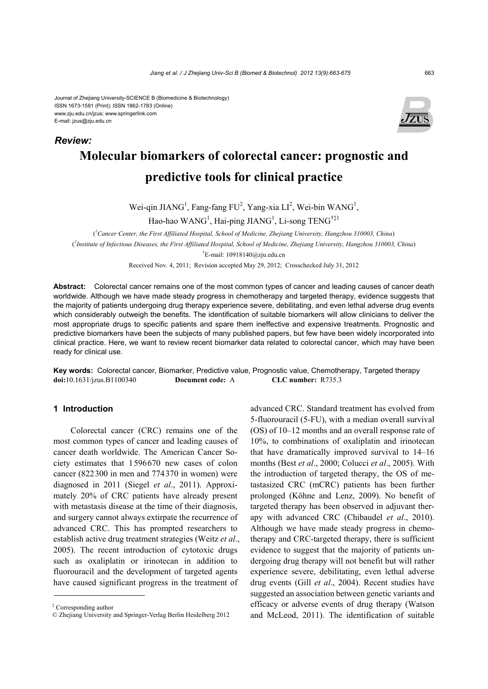#### Journal of Zhejiang University-SCIENCE B (Biomedicine & Biotechnology) ISSN 1673-1581 (Print); ISSN 1862-1783 (Online) www.zju.edu.cn/jzus; www.springerlink.com E-mail: jzus@zju.edu.cn



# **Molecular biomarkers of colorectal cancer: prognostic and predictive tools for clinical practice**

Wei-qin JIANG<sup>1</sup>, Fang-fang FU<sup>2</sup>, Yang-xia LI<sup>2</sup>, Wei-bin WANG<sup>1</sup>,

Hao-hao WANG<sup>1</sup>, Hai-ping JIANG<sup>1</sup>, Li-song TENG<sup>†‡1</sup>

( *1 Cancer Center, the First Affiliated Hospital, School of Medicine, Zhejiang University, Hangzhou 310003, China*) ( *2 Institute of Infectious Diseases, the First Affiliated Hospital, School of Medicine, Zhejiang University, Hangzhou 310003, China*) † E-mail: 10918140@zju.edu.cn

Received Nov. 4, 2011; Revision accepted May 29, 2012; Crosschecked July 31, 2012

**Abstract:** Colorectal cancer remains one of the most common types of cancer and leading causes of cancer death worldwide. Although we have made steady progress in chemotherapy and targeted therapy, evidence suggests that the majority of patients undergoing drug therapy experience severe, debilitating, and even lethal adverse drug events which considerably outweigh the benefits. The identification of suitable biomarkers will allow clinicians to deliver the most appropriate drugs to specific patients and spare them ineffective and expensive treatments. Prognostic and predictive biomarkers have been the subjects of many published papers, but few have been widely incorporated into clinical practice. Here, we want to review recent biomarker data related to colorectal cancer, which may have been ready for clinical use.

**Key words:** Colorectal cancer, Biomarker, Predictive value, Prognostic value, Chemotherapy, Targeted therapy **doi:**10.1631/jzus.B1100340 **Document code:** A **CLC number:** R735.3

## **1 Introduction**

*Review:*

Colorectal cancer (CRC) remains one of the most common types of cancer and leading causes of cancer death worldwide. The American Cancer Society estimates that 1596670 new cases of colon cancer (822300 in men and 774370 in women) were diagnosed in 2011 (Siegel *et al*., 2011). Approximately 20% of CRC patients have already present with metastasis disease at the time of their diagnosis, and surgery cannot always extirpate the recurrence of advanced CRC. This has prompted researchers to establish active drug treatment strategies (Weitz *et al*., 2005). The recent introduction of cytotoxic drugs such as oxaliplatin or irinotecan in addition to fluorouracil and the development of targeted agents have caused significant progress in the treatment of

advanced CRC. Standard treatment has evolved from 5-fluorouracil (5-FU), with a median overall survival (OS) of 10–12 months and an overall response rate of 10%, to combinations of oxaliplatin and irinotecan that have dramatically improved survival to 14–16 months (Best *et al*., 2000; Colucci *et al*., 2005). With the introduction of targeted therapy, the OS of metastasized CRC (mCRC) patients has been further prolonged (Köhne and Lenz, 2009). No benefit of targeted therapy has been observed in adjuvant therapy with advanced CRC (Chibaudel *et al*., 2010). Although we have made steady progress in chemotherapy and CRC-targeted therapy, there is sufficient evidence to suggest that the majority of patients undergoing drug therapy will not benefit but will rather experience severe, debilitating, even lethal adverse drug events (Gill *et al*., 2004). Recent studies have suggested an association between genetic variants and efficacy or adverse events of drug therapy (Watson and McLeod, 2011). The identification of suitable

<sup>‡</sup> Corresponding author

<sup>©</sup> Zhejiang University and Springer-Verlag Berlin Heidelberg 2012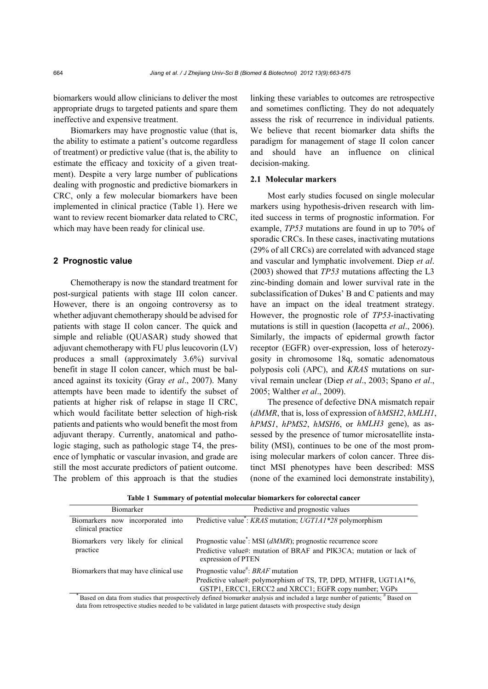biomarkers would allow clinicians to deliver the most appropriate drugs to targeted patients and spare them ineffective and expensive treatment.

Biomarkers may have prognostic value (that is, the ability to estimate a patient's outcome regardless of treatment) or predictive value (that is, the ability to estimate the efficacy and toxicity of a given treatment). Despite a very large number of publications dealing with prognostic and predictive biomarkers in CRC, only a few molecular biomarkers have been implemented in clinical practice (Table 1). Here we want to review recent biomarker data related to CRC, which may have been ready for clinical use.

## **2 Prognostic value**

Chemotherapy is now the standard treatment for post-surgical patients with stage III colon cancer. However, there is an ongoing controversy as to whether adjuvant chemotherapy should be advised for patients with stage II colon cancer. The quick and simple and reliable (QUASAR) study showed that adjuvant chemotherapy with FU plus leucovorin (LV) produces a small (approximately 3.6%) survival benefit in stage II colon cancer, which must be balanced against its toxicity (Gray *et al*., 2007). Many attempts have been made to identify the subset of patients at higher risk of relapse in stage II CRC, which would facilitate better selection of high-risk patients and patients who would benefit the most from adjuvant therapy. Currently, anatomical and pathologic staging, such as pathologic stage T4, the presence of lymphatic or vascular invasion, and grade are still the most accurate predictors of patient outcome. The problem of this approach is that the studies linking these variables to outcomes are retrospective and sometimes conflicting. They do not adequately assess the risk of recurrence in individual patients. We believe that recent biomarker data shifts the paradigm for management of stage II colon cancer and should have an influence on clinical decision-making.

#### **2.1 Molecular markers**

Most early studies focused on single molecular markers using hypothesis-driven research with limited success in terms of prognostic information. For example, *TP53* mutations are found in up to 70% of sporadic CRCs. In these cases, inactivating mutations (29% of all CRCs) are correlated with advanced stage and vascular and lymphatic involvement. Diep *et al*. (2003) showed that *TP53* mutations affecting the L3 zinc-binding domain and lower survival rate in the subclassification of Dukes' B and C patients and may have an impact on the ideal treatment strategy. However, the prognostic role of *TP53*-inactivating mutations is still in question (Iacopetta *et al*., 2006). Similarly, the impacts of epidermal growth factor receptor (EGFR) over-expression, loss of heterozygosity in chromosome 18q, somatic adenomatous polyposis coli (APC), and *KRAS* mutations on survival remain unclear (Diep *et al*., 2003; Spano *et al*., 2005; Walther *et al*., 2009).

The presence of defective DNA mismatch repair (*dMMR*, that is, loss of expression of *hMSH2*, *hMLH1*, *hPMS1*, *hPMS2*, *hMSH6*, or *hMLH3* gene), as assessed by the presence of tumor microsatellite instability (MSI), continues to be one of the most promising molecular markers of colon cancer. Three distinct MSI phenotypes have been described: MSS (none of the examined loci demonstrate instability),

**Table 1 Summary of potential molecular biomarkers for colorectal cancer** 

| Biomarker                                             | Predictive and prognostic values                                                                                                                                                  |
|-------------------------------------------------------|-----------------------------------------------------------------------------------------------------------------------------------------------------------------------------------|
| Biomarkers now incorporated into<br>clinical practice | Predictive value <sup>*</sup> : KRAS mutation; UGT1A1*28 polymorphism                                                                                                             |
| Biomarkers very likely for clinical<br>practice       | Prognostic value <sup>*</sup> : MSI ( $dMMR$ ); prognostic recurrence score<br>Predictive value#: mutation of BRAF and PIK3CA; mutation or lack of<br>expression of PTEN          |
| Biomarkers that may have clinical use                 | Prognostic value <sup>#</sup> : <i>BRAF</i> mutation<br>Predictive value#: polymorphism of TS, TP, DPD, MTHFR, UGT1A1*6,<br>GSTP1, ERCC1, ERCC2 and XRCC1; EGFR copy number; VGPs |

Based on data from studies that prospectively defined biomarker analysis and included a large number of patients: # Based on data from retrospective studies needed to be validated in large patient datasets with prospective study design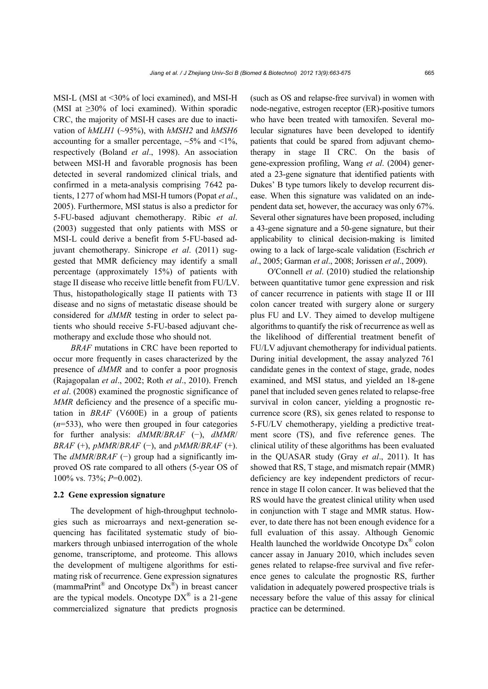MSI-L (MSI at <30% of loci examined), and MSI-H (MSI at  $\geq$ 30% of loci examined). Within sporadic CRC, the majority of MSI-H cases are due to inactivation of *hMLH1* (~95%), with *hMSH2* and *hMSH6* accounting for a smaller percentage,  $\sim$  5% and <1%, respectively (Boland *et al*., 1998). An association between MSI-H and favorable prognosis has been detected in several randomized clinical trials, and confirmed in a meta-analysis comprising 7642 patients, 1277 of whom had MSI-H tumors (Popat *et al*., 2005). Furthermore, MSI status is also a predictor for 5-FU-based adjuvant chemotherapy. Ribic *et al*. (2003) suggested that only patients with MSS or MSI-L could derive a benefit from 5-FU-based adjuvant chemotherapy. Sinicrope *et al*. (2011) suggested that MMR deficiency may identify a small percentage (approximately 15%) of patients with stage II disease who receive little benefit from FU/LV. Thus, histopathologically stage II patients with T3 disease and no signs of metastatic disease should be considered for *dMMR* testing in order to select patients who should receive 5-FU-based adjuvant chemotherapy and exclude those who should not.

*BRAF* mutations in CRC have been reported to occur more frequently in cases characterized by the presence of *dMMR* and to confer a poor prognosis (Rajagopalan *et al*., 2002; Roth *et al*., 2010). French *et al*. (2008) examined the prognostic significance of *MMR* deficiency and the presence of a specific mutation in *BRAF* (V600E) in a group of patients (*n*=533), who were then grouped in four categories for further analysis: *dMMR*/*BRAF* (−), *dMMR*/ *BRAF* (+), *pMMR*/*BRAF* (−), and *pMMR*/*BRAF* (+). The *dMMR*/*BRAF* (−) group had a significantly improved OS rate compared to all others (5-year OS of 100% vs. 73%; *P*=0.002).

#### **2.2 Gene expression signature**

The development of high-throughput technologies such as microarrays and next-generation sequencing has facilitated systematic study of biomarkers through unbiased interrogation of the whole genome, transcriptome, and proteome. This allows the development of multigene algorithms for estimating risk of recurrence. Gene expression signatures (mammaPrint<sup>®</sup> and Oncotype  $Dx^{\mathcal{R}}$ ) in breast cancer are the typical models. Oncotype  $DX^{\circledast}$  is a 21-gene commercialized signature that predicts prognosis

(such as OS and relapse-free survival) in women with node-negative, estrogen receptor (ER)-positive tumors who have been treated with tamoxifen. Several molecular signatures have been developed to identify patients that could be spared from adjuvant chemotherapy in stage II CRC. On the basis of gene-expression profiling, Wang *et al*. (2004) generated a 23-gene signature that identified patients with Dukes' B type tumors likely to develop recurrent disease. When this signature was validated on an independent data set, however, the accuracy was only 67%. Several other signatures have been proposed, including a 43-gene signature and a 50-gene signature, but their applicability to clinical decision-making is limited owing to a lack of large-scale validation (Eschrich *et al*., 2005; Garman *et al*., 2008; Jorissen *et al*., 2009).

O′Connell *et al*. (2010) studied the relationship between quantitative tumor gene expression and risk of cancer recurrence in patients with stage II or III colon cancer treated with surgery alone or surgery plus FU and LV. They aimed to develop multigene algorithms to quantify the risk of recurrence as well as the likelihood of differential treatment benefit of FU/LV adjuvant chemotherapy for individual patients. During initial development, the assay analyzed 761 candidate genes in the context of stage, grade, nodes examined, and MSI status, and yielded an 18-gene panel that included seven genes related to relapse-free survival in colon cancer, yielding a prognostic recurrence score (RS), six genes related to response to 5-FU/LV chemotherapy, yielding a predictive treatment score (TS), and five reference genes. The clinical utility of these algorithms has been evaluated in the QUASAR study (Gray *et al*., 2011). It has showed that RS, T stage, and mismatch repair (MMR) deficiency are key independent predictors of recurrence in stage II colon cancer. It was believed that the RS would have the greatest clinical utility when used in conjunction with T stage and MMR status. However, to date there has not been enough evidence for a full evaluation of this assay. Although Genomic Health launched the worldwide Oncotype  $Dx^{\mathcal{R}}$  colon cancer assay in January 2010, which includes seven genes related to relapse-free survival and five reference genes to calculate the prognostic RS, further validation in adequately powered prospective trials is necessary before the value of this assay for clinical practice can be determined.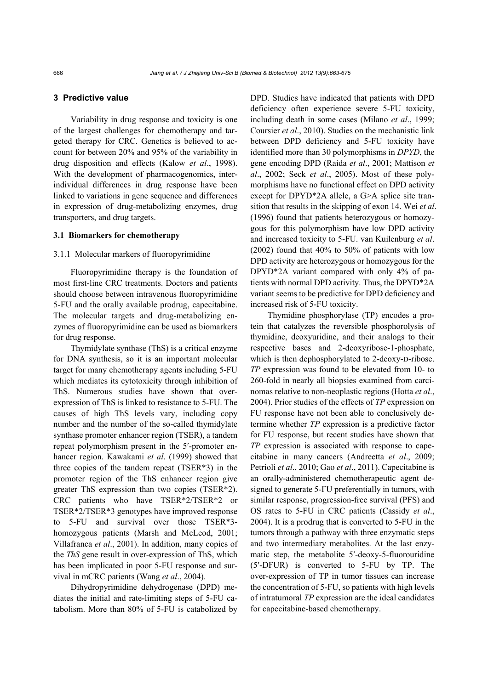## **3 Predictive value**

Variability in drug response and toxicity is one of the largest challenges for chemotherapy and targeted therapy for CRC. Genetics is believed to account for between 20% and 95% of the variability in drug disposition and effects (Kalow *et al*., 1998). With the development of pharmacogenomics, interindividual differences in drug response have been linked to variations in gene sequence and differences in expression of drug-metabolizing enzymes, drug transporters, and drug targets.

#### **3.1 Biomarkers for chemotherapy**

## 3.1.1 Molecular markers of fluoropyrimidine

Fluoropyrimidine therapy is the foundation of most first-line CRC treatments. Doctors and patients should choose between intravenous fluoropyrimidine 5-FU and the orally available prodrug, capecitabine. The molecular targets and drug-metabolizing enzymes of fluoropyrimidine can be used as biomarkers for drug response.

Thymidylate synthase (ThS) is a critical enzyme for DNA synthesis, so it is an important molecular target for many chemotherapy agents including 5-FU which mediates its cytotoxicity through inhibition of ThS. Numerous studies have shown that overexpression of ThS is linked to resistance to 5-FU. The causes of high ThS levels vary, including copy number and the number of the so-called thymidylate synthase promoter enhancer region (TSER), a tandem repeat polymorphism present in the 5′-promoter enhancer region. Kawakami *et al*. (1999) showed that three copies of the tandem repeat (TSER\*3) in the promoter region of the ThS enhancer region give greater ThS expression than two copies (TSER\*2). CRC patients who have TSER\*2/TSER\*2 or TSER\*2/TSER\*3 genotypes have improved response to 5-FU and survival over those TSER\*3 homozygous patients (Marsh and McLeod, 2001; Villafranca *et al*., 2001). In addition, many copies of the *ThS* gene result in over-expression of ThS, which has been implicated in poor 5-FU response and survival in mCRC patients (Wang *et al*., 2004).

Dihydropyrimidine dehydrogenase (DPD) mediates the initial and rate-limiting steps of 5-FU catabolism. More than 80% of 5-FU is catabolized by DPD. Studies have indicated that patients with DPD deficiency often experience severe 5-FU toxicity, including death in some cases (Milano *et al*., 1999; Coursier *et al*., 2010). Studies on the mechanistic link between DPD deficiency and 5-FU toxicity have identified more than 30 polymorphisms in *DPYD*, the gene encoding DPD (Raida *et al*., 2001; Mattison *et al*., 2002; Seck *et al*., 2005). Most of these polymorphisms have no functional effect on DPD activity except for DPYD\*2A allele, a G>A splice site transition that results in the skipping of exon 14. Wei *et al*. (1996) found that patients heterozygous or homozygous for this polymorphism have low DPD activity and increased toxicity to 5-FU. van Kuilenburg *et al*. (2002) found that 40% to 50% of patients with low DPD activity are heterozygous or homozygous for the DPYD\*2A variant compared with only 4% of patients with normal DPD activity. Thus, the DPYD\*2A variant seems to be predictive for DPD deficiency and increased risk of 5-FU toxicity.

Thymidine phosphorylase (TP) encodes a protein that catalyzes the reversible phosphorolysis of thymidine, deoxyuridine, and their analogs to their respective bases and 2-deoxyribose-1-phosphate, which is then dephosphorylated to 2-deoxy-D-ribose. *TP* expression was found to be elevated from 10- to 260-fold in nearly all biopsies examined from carcinomas relative to non-neoplastic regions (Hotta *et al*., 2004). Prior studies of the effects of *TP* expression on FU response have not been able to conclusively determine whether *TP* expression is a predictive factor for FU response, but recent studies have shown that *TP* expression is associated with response to capecitabine in many cancers (Andreetta *et al*., 2009; Petrioli *et al*., 2010; Gao *et al*., 2011). Capecitabine is an orally-administered chemotherapeutic agent designed to generate 5-FU preferentially in tumors, with similar response, progression-free survival (PFS) and OS rates to 5-FU in CRC patients (Cassidy *et al*., 2004). It is a prodrug that is converted to 5-FU in the tumors through a pathway with three enzymatic steps and two intermediary metabolites. At the last enzymatic step, the metabolite 5′-deoxy-5-fluorouridine (5′-DFUR) is converted to 5-FU by TP. The over-expression of TP in tumor tissues can increase the concentration of 5-FU, so patients with high levels of intratumoral *TP* expression are the ideal candidates for capecitabine-based chemotherapy.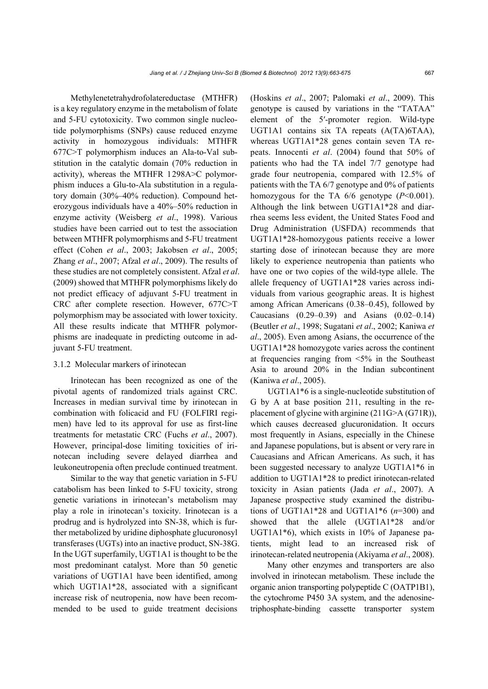Methylenetetrahydrofolatereductase (MTHFR) is a key regulatory enzyme in the metabolism of folate and 5-FU cytotoxicity. Two common single nucleotide polymorphisms (SNPs) cause reduced enzyme activity in homozygous individuals: MTHFR 677C>T polymorphism induces an Ala-to-Val substitution in the catalytic domain (70% reduction in activity), whereas the MTHFR 1298A>C polymorphism induces a Glu-to-Ala substitution in a regulatory domain (30%–40% reduction). Compound heterozygous individuals have a 40%–50% reduction in enzyme activity (Weisberg *et al*., 1998). Various studies have been carried out to test the association between MTHFR polymorphisms and 5-FU treatment effect (Cohen *et al*., 2003; Jakobsen *et al*., 2005; Zhang *et al*., 2007; Afzal *et al*., 2009). The results of these studies are not completely consistent. Afzal *et al*. (2009) showed that MTHFR polymorphisms likely do not predict efficacy of adjuvant 5-FU treatment in CRC after complete resection. However, 677C>T polymorphism may be associated with lower toxicity. All these results indicate that MTHFR polymorphisms are inadequate in predicting outcome in adjuvant 5-FU treatment.

## 3.1.2 Molecular markers of irinotecan

Irinotecan has been recognized as one of the pivotal agents of randomized trials against CRC. Increases in median survival time by irinotecan in combination with folicacid and FU (FOLFIRI regimen) have led to its approval for use as first-line treatments for metastatic CRC (Fuchs *et al*., 2007). However, principal-dose limiting toxicities of irinotecan including severe delayed diarrhea and leukoneutropenia often preclude continued treatment.

Similar to the way that genetic variation in 5-FU catabolism has been linked to 5-FU toxicity, strong genetic variations in irinotecan's metabolism may play a role in irinotecan's toxicity. Irinotecan is a prodrug and is hydrolyzed into SN-38, which is further metabolized by uridine diphosphate glucuronosyl transferases (UGTs) into an inactive product, SN-38G. In the UGT superfamily, UGT1A1 is thought to be the most predominant catalyst. More than 50 genetic variations of UGT1A1 have been identified, among which UGT1A1<sup>\*</sup>28, associated with a significant increase risk of neutropenia, now have been recommended to be used to guide treatment decisions

(Hoskins *et al*., 2007; Palomaki *et al*., 2009). This genotype is caused by variations in the "TATAA" element of the 5′-promoter region. Wild-type UGT1A1 contains six TA repeats (A(TA)6TAA), whereas UGT1A1\*28 genes contain seven TA repeats. Innocenti *et al*. (2004) found that 50% of patients who had the TA indel 7/7 genotype had grade four neutropenia, compared with 12.5% of patients with the TA 6/7 genotype and 0% of patients homozygous for the TA 6/6 genotype (*P*<0.001). Although the link between UGT1A1\*28 and diarrhea seems less evident, the United States Food and Drug Administration (USFDA) recommends that UGT1A1\*28-homozygous patients receive a lower starting dose of irinotecan because they are more likely to experience neutropenia than patients who have one or two copies of the wild-type allele. The allele frequency of UGT1A1\*28 varies across individuals from various geographic areas. It is highest among African Americans (0.38–0.45), followed by Caucasians (0.29–0.39) and Asians (0.02–0.14) (Beutler *et al*., 1998; Sugatani *et al*., 2002; Kaniwa *et al*., 2005). Even among Asians, the occurrence of the UGT1A1\*28 homozygote varies across the continent at frequencies ranging from <5% in the Southeast Asia to around 20% in the Indian subcontinent (Kaniwa *et al*., 2005).

UGT1A1\*6 is a single-nucleotide substitution of G by A at base position 211, resulting in the replacement of glycine with arginine (211G>A (G71R)), which causes decreased glucuronidation. It occurs most frequently in Asians, especially in the Chinese and Japanese populations, but is absent or very rare in Caucasians and African Americans. As such, it has been suggested necessary to analyze UGT1A1\*6 in addition to UGT1A1\*28 to predict irinotecan-related toxicity in Asian patients (Jada *et al*., 2007). A Japanese prospective study examined the distributions of UGT1A1\*28 and UGT1A1\*6 (*n*=300) and showed that the allele (UGT1A1\*28 and/or UGT1A1\*6), which exists in 10% of Japanese patients, might lead to an increased risk of irinotecan-related neutropenia (Akiyama *et al*., 2008).

Many other enzymes and transporters are also involved in irinotecan metabolism. These include the organic anion transporting polypeptide C (OATP1B1), the cytochrome P450 3A system, and the adenosinetriphosphate-binding cassette transporter system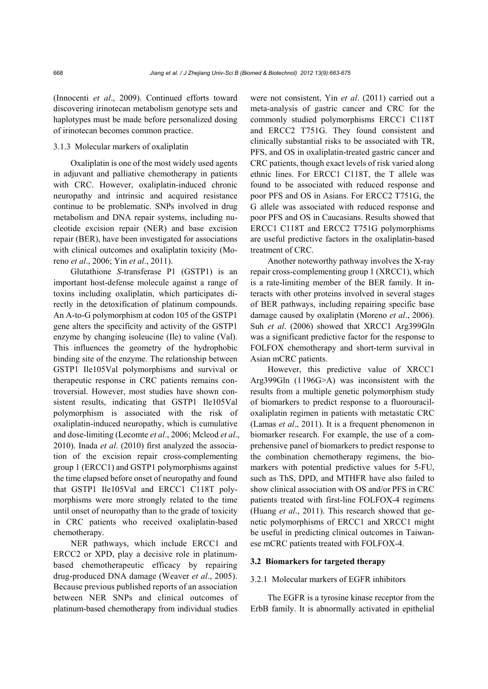(Innocenti *et al*., 2009). Continued efforts toward discovering irinotecan metabolism genotype sets and haplotypes must be made before personalized dosing of irinotecan becomes common practice.

## 3.1.3 Molecular markers of oxaliplatin

Oxaliplatin is one of the most widely used agents in adjuvant and palliative chemotherapy in patients with CRC. However, oxaliplatin-induced chronic neuropathy and intrinsic and acquired resistance continue to be problematic. SNPs involved in drug metabolism and DNA repair systems, including nucleotide excision repair (NER) and base excision repair (BER), have been investigated for associations with clinical outcomes and oxaliplatin toxicity (Moreno *et al*., 2006; Yin *et al*., 2011).

Glutathione *S*-transferase P1 (GSTP1) is an important host-defense molecule against a range of toxins including oxaliplatin, which participates directly in the detoxification of platinum compounds. An A-to-G polymorphism at codon 105 of the GSTP1 gene alters the specificity and activity of the GSTP1 enzyme by changing isoleucine (Ile) to valine (Val). This influences the geometry of the hydrophobic binding site of the enzyme. The relationship between GSTP1 Ile105Val polymorphisms and survival or therapeutic response in CRC patients remains controversial. However, most studies have shown consistent results, indicating that GSTP1 Ile105Val polymorphism is associated with the risk of oxaliplatin-induced neuropathy, which is cumulative and dose-limiting (Lecomte *et al*., 2006; Mcleod *et al*., 2010). Inada *et al*. (2010) first analyzed the association of the excision repair cross-complementing group 1 (ERCC1) and GSTP1 polymorphisms against the time elapsed before onset of neuropathy and found that GSTP1 Ile105Val and ERCC1 C118T polymorphisms were more strongly related to the time until onset of neuropathy than to the grade of toxicity in CRC patients who received oxaliplatin-based chemotherapy.

NER pathways, which include ERCC1 and ERCC2 or XPD, play a decisive role in platinumbased chemotherapeutic efficacy by repairing drug-produced DNA damage (Weaver *et al*., 2005). Because previous published reports of an association between NER SNPs and clinical outcomes of platinum-based chemotherapy from individual studies

were not consistent, Yin *et al*. (2011) carried out a meta-analysis of gastric cancer and CRC for the commonly studied polymorphisms ERCC1 C118T and ERCC2 T751G. They found consistent and clinically substantial risks to be associated with TR, PFS, and OS in oxaliplatin-treated gastric cancer and CRC patients, though exact levels of risk varied along ethnic lines. For ERCC1 C118T, the T allele was found to be associated with reduced response and poor PFS and OS in Asians. For ERCC2 T751G, the G allele was associated with reduced response and poor PFS and OS in Caucasians. Results showed that ERCC1 C118T and ERCC2 T751G polymorphisms are useful predictive factors in the oxaliplatin-based treatment of CRC.

Another noteworthy pathway involves the X-ray repair cross-complementing group 1 (XRCC1), which is a rate-limiting member of the BER family. It interacts with other proteins involved in several stages of BER pathways, including repairing specific base damage caused by oxaliplatin (Moreno *et al*., 2006). Suh *et al*. (2006) showed that XRCC1 Arg399Gln was a significant predictive factor for the response to FOLFOX chemotherapy and short-term survival in Asian mCRC patients.

However, this predictive value of XRCC1 Arg399Gln (1196G>A) was inconsistent with the results from a multiple genetic polymorphism study of biomarkers to predict response to a fluorouraciloxaliplatin regimen in patients with metastatic CRC (Lamas *et al*., 2011). It is a frequent phenomenon in biomarker research. For example, the use of a comprehensive panel of biomarkers to predict response to the combination chemotherapy regimens, the biomarkers with potential predictive values for 5-FU, such as ThS, DPD, and MTHFR have also failed to show clinical association with OS and/or PFS in CRC patients treated with first-line FOLFOX-4 regimens (Huang *et al*., 2011). This research showed that genetic polymorphisms of ERCC1 and XRCC1 might be useful in predicting clinical outcomes in Taiwanese mCRC patients treated with FOLFOX-4.

## **3.2 Biomarkers for targeted therapy**

#### 3.2.1 Molecular markers of EGFR inhibitors

The EGFR is a tyrosine kinase receptor from the ErbB family. It is abnormally activated in epithelial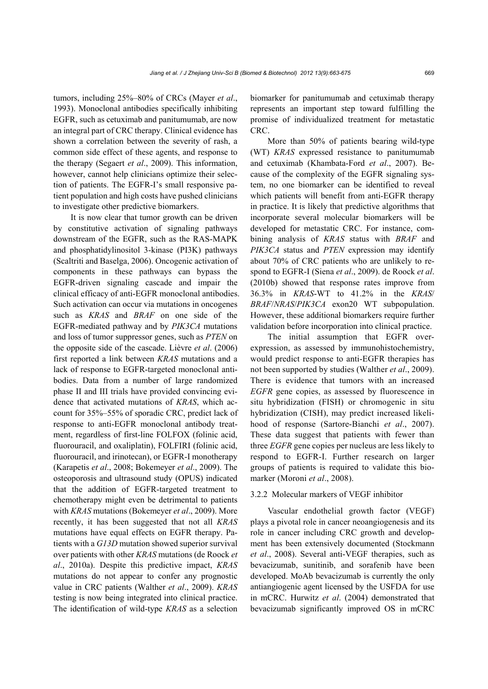tumors, including 25%–80% of CRCs (Mayer *et al*., 1993). Monoclonal antibodies specifically inhibiting EGFR, such as cetuximab and panitumumab, are now an integral part of CRC therapy. Clinical evidence has shown a correlation between the severity of rash, a common side effect of these agents, and response to the therapy (Segaert *et al*., 2009). This information, however, cannot help clinicians optimize their selection of patients. The EGFR-I's small responsive patient population and high costs have pushed clinicians to investigate other predictive biomarkers.

It is now clear that tumor growth can be driven by constitutive activation of signaling pathways downstream of the EGFR, such as the RAS-MAPK and phosphatidylinositol 3-kinase (PI3K) pathways (Scaltriti and Baselga, 2006). Oncogenic activation of components in these pathways can bypass the EGFR-driven signaling cascade and impair the clinical efficacy of anti-EGFR monoclonal antibodies. Such activation can occur via mutations in oncogenes such as *KRAS* and *BRAF* on one side of the EGFR-mediated pathway and by *PIK3CA* mutations and loss of tumor suppressor genes, such as *PTEN* on the opposite side of the cascade. Lièvre *et al*. (2006) first reported a link between *KRAS* mutations and a lack of response to EGFR-targeted monoclonal antibodies. Data from a number of large randomized phase II and III trials have provided convincing evidence that activated mutations of *KRAS*, which account for 35%–55% of sporadic CRC, predict lack of response to anti-EGFR monoclonal antibody treatment, regardless of first-line FOLFOX (folinic acid, fluorouracil, and oxaliplatin), FOLFIRI (folinic acid, fluorouracil, and irinotecan), or EGFR-I monotherapy (Karapetis *et al*., 2008; Bokemeyer *et al*., 2009). The osteoporosis and ultrasound study (OPUS) indicated that the addition of EGFR-targeted treatment to chemotherapy might even be detrimental to patients with *KRAS* mutations (Bokemeyer *et al*., 2009). More recently, it has been suggested that not all *KRAS* mutations have equal effects on EGFR therapy. Patients with a *G13D* mutation showed superior survival over patients with other *KRAS* mutations (de Roock *et al*., 2010a). Despite this predictive impact, *KRAS* mutations do not appear to confer any prognostic value in CRC patients (Walther *et al*., 2009). *KRAS* testing is now being integrated into clinical practice. The identification of wild-type *KRAS* as a selection

biomarker for panitumumab and cetuximab therapy represents an important step toward fulfilling the promise of individualized treatment for metastatic CRC.

More than 50% of patients bearing wild-type (WT) *KRAS* expressed resistance to panitumumab and cetuximab (Khambata-Ford *et al*., 2007). Because of the complexity of the EGFR signaling system, no one biomarker can be identified to reveal which patients will benefit from anti-EGFR therapy in practice. It is likely that predictive algorithms that incorporate several molecular biomarkers will be developed for metastatic CRC. For instance, combining analysis of *KRAS* status with *BRAF* and *PIK3CA* status and *PTEN* expression may identify about 70% of CRC patients who are unlikely to respond to EGFR-I (Siena *et al*., 2009). de Roock *et al*. (2010b) showed that response rates improve from 36.3% in *KRAS*-WT to 41.2% in the *KRAS*/ *BRAF*/*NRAS*/*PIK3CA* exon20 WT subpopulation. However, these additional biomarkers require further validation before incorporation into clinical practice.

The initial assumption that EGFR overexpression, as assessed by immunohistochemistry, would predict response to anti-EGFR therapies has not been supported by studies (Walther *et al*., 2009). There is evidence that tumors with an increased *EGFR* gene copies, as assessed by fluorescence in situ hybridization (FISH) or chromogenic in situ hybridization (CISH), may predict increased likelihood of response (Sartore-Bianchi *et al*., 2007). These data suggest that patients with fewer than three *EGFR* gene copies per nucleus are less likely to respond to EGFR-I. Further research on larger groups of patients is required to validate this biomarker (Moroni *et al*., 2008).

#### 3.2.2 Molecular markers of VEGF inhibitor

Vascular endothelial growth factor (VEGF) plays a pivotal role in cancer neoangiogenesis and its role in cancer including CRC growth and development has been extensively documented (Stockmann *et al*., 2008). Several anti-VEGF therapies, such as bevacizumab, sunitinib, and sorafenib have been developed. MoAb bevacizumab is currently the only antiangiogenic agent licensed by the USFDA for use in mCRC. Hurwitz *et al*. (2004) demonstrated that bevacizumab significantly improved OS in mCRC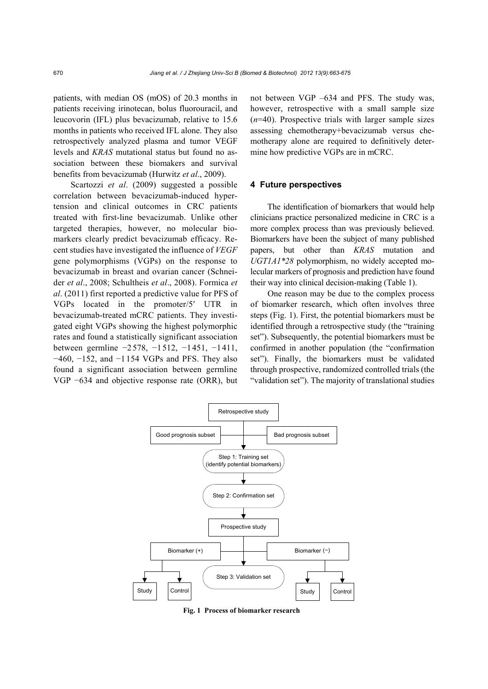patients, with median OS (mOS) of 20.3 months in patients receiving irinotecan, bolus fluorouracil, and leucovorin (IFL) plus bevacizumab, relative to 15.6 months in patients who received IFL alone. They also retrospectively analyzed plasma and tumor VEGF levels and *KRAS* mutational status but found no association between these biomakers and survival benefits from bevacizumab (Hurwitz *et al*., 2009).

Scartozzi *et al*. (2009) suggested a possible correlation between bevacizumab-induced hypertension and clinical outcomes in CRC patients treated with first-line bevacizumab. Unlike other targeted therapies, however, no molecular biomarkers clearly predict bevacizumab efficacy. Recent studies have investigated the influence of *VEGF* gene polymorphisms (VGPs) on the response to bevacizumab in breast and ovarian cancer (Schneider *et al*., 2008; Schultheis *et al*., 2008). Formica *et al*. (2011) first reported a predictive value for PFS of VGPs located in the promoter/5′ UTR in bevacizumab-treated mCRC patients. They investigated eight VGPs showing the highest polymorphic rates and found a statistically significant association between germline −2578, −1512, −1451, −1411, −460, −152, and −1154 VGPs and PFS. They also found a significant association between germline VGP −634 and objective response rate (ORR), but

not between VGP –634 and PFS. The study was, however, retrospective with a small sample size (*n*=40). Prospective trials with larger sample sizes assessing chemotherapy+bevacizumab versus chemotherapy alone are required to definitively determine how predictive VGPs are in mCRC.

## **4 Future perspectives**

The identification of biomarkers that would help clinicians practice personalized medicine in CRC is a more complex process than was previously believed. Biomarkers have been the subject of many published papers, but other than *KRAS* mutation and *UGT1A1\*28* polymorphism, no widely accepted molecular markers of prognosis and prediction have found their way into clinical decision-making (Table 1).

One reason may be due to the complex process of biomarker research, which often involves three steps (Fig. 1). First, the potential biomarkers must be identified through a retrospective study (the "training set"). Subsequently, the potential biomarkers must be confirmed in another population (the "confirmation set"). Finally, the biomarkers must be validated through prospective, randomized controlled trials (the "validation set"). The majority of translational studies



**Fig. 1 Process of biomarker research**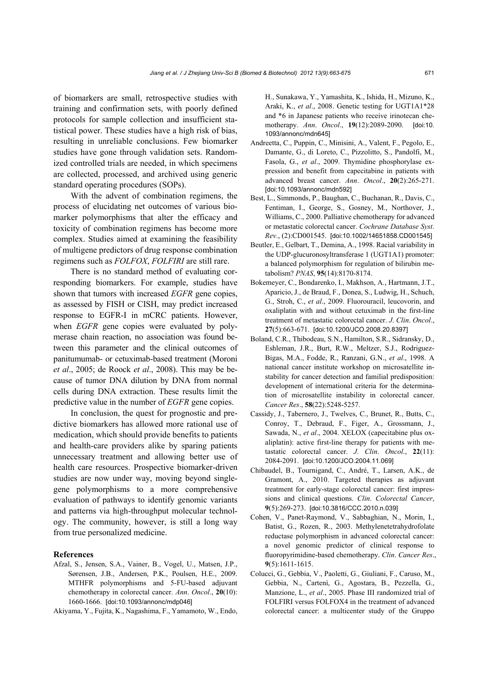of biomarkers are small, retrospective studies with training and confirmation sets, with poorly defined protocols for sample collection and insufficient statistical power. These studies have a high risk of bias, resulting in unreliable conclusions. Few biomarker studies have gone through validation sets. Randomized controlled trials are needed, in which specimens are collected, processed, and archived using generic standard operating procedures (SOPs).

With the advent of combination regimens, the process of elucidating net outcomes of various biomarker polymorphisms that alter the efficacy and toxicity of combination regimens has become more complex. Studies aimed at examining the feasibility of multigene predictors of drug response combination regimens such as *FOLFOX*, *FOLFIRI* are still rare.

There is no standard method of evaluating corresponding biomarkers. For example, studies have shown that tumors with increased *EGFR* gene copies, as assessed by FISH or CISH, may predict increased response to EGFR-I in mCRC patients. However, when *EGFR* gene copies were evaluated by polymerase chain reaction, no association was found between this parameter and the clinical outcomes of panitumumab- or cetuximab-based treatment (Moroni *et al*., 2005; de Roock *et al*., 2008). This may be because of tumor DNA dilution by DNA from normal cells during DNA extraction. These results limit the predictive value in the number of *EGFR* gene copies.

In conclusion, the quest for prognostic and predictive biomarkers has allowed more rational use of medication, which should provide benefits to patients and health-care providers alike by sparing patients unnecessary treatment and allowing better use of health care resources. Prospective biomarker-driven studies are now under way, moving beyond singlegene polymorphisms to a more comprehensive evaluation of pathways to identify genomic variants and patterns via high-throughput molecular technology. The community, however, is still a long way from true personalized medicine.

#### **References**

- Afzal, S., Jensen, S.A., Vainer, B., Vogel, U., Matsen, J.P., Sørensen, J.B., Andersen, P.K., Poulsen, H.E., 2009. MTHFR polymorphisms and 5-FU-based adjuvant chemotherapy in colorectal cancer. *Ann*. *Oncol*., **20**(10): 1660-1666. [doi:10.1093/annonc/mdp046]
- Akiyama, Y., Fujita, K., Nagashima, F., Yamamoto, W., Endo,

H., Sunakawa, Y., Yamashita, K., Ishida, H., Mizuno, K., Araki, K., *et al*., 2008. Genetic testing for UGT1A1\*28 and \*6 in Japanese patients who receive irinotecan chemotherapy. *Ann*. *Oncol*., **19**(12):2089-2090. [doi:10. 1093/annonc/mdn645]

- Andreetta, C., Puppin, C., Minisini, A., Valent, F., Pegolo, E., Damante, G., di Loreto, C., Pizzolitto, S., Pandolfi, M., Fasola, G., *et al*., 2009. Thymidine phosphorylase expression and benefit from capecitabine in patients with advanced breast cancer. *Ann*. *Oncol*., **20**(2):265-271. [doi:10.1093/annonc/mdn592]
- Best, L., Simmonds, P., Baughan, C., Buchanan, R., Davis, C., Fentiman, I., George, S., Gosney, M., Northover, J., Williams, C., 2000. Palliative chemotherapy for advanced or metastatic colorectal cancer. *Cochrane Database Syst*. *Rev*., (2):CD001545. [doi:10.1002/14651858.CD001545]
- Beutler, E., Gelbart, T., Demina, A., 1998. Racial variability in the UDP-glucuronosyltransferase 1 (UGT1A1) promoter: a balanced polymorphism for regulation of bilirubin metabolism? *PNAS*, **95**(14):8170-8174.
- Bokemeyer, C., Bondarenko, I., Makhson, A., Hartmann, J.T., Aparicio, J., de Braud, F., Donea, S., Ludwig, H., Schuch, G., Stroh, C., *et al*., 2009. Fluorouracil, leucovorin, and oxaliplatin with and without cetuximab in the first-line treatment of metastatic colorectal cancer. *J*. *Clin*. *Oncol*., **27**(5):663-671. [doi:10.1200/JCO.2008.20.8397]
- Boland, C.R., Thibodeau, S.N., Hamilton, S.R., Sidransky, D., Eshleman, J.R., Burt, R.W., Meltzer, S.J., Rodriguez-Bigas, M.A., Fodde, R., Ranzani, G.N., *et al*., 1998. A national cancer institute workshop on microsatellite instability for cancer detection and familial predisposition: development of international criteria for the determination of microsatellite instability in colorectal cancer. *Cancer Res*., **58**(22):5248-5257.
- Cassidy, J., Tabernero, J., Twelves, C., Brunet, R., Butts, C., Conroy, T., Debraud, F., Figer, A., Grossmann, J., Sawada, N., *et al*., 2004. XELOX (capecitabine plus oxaliplatin): active first-line therapy for patients with metastatic colorectal cancer. *J*. *Clin*. *Oncol*., **22**(11): 2084-2091. [doi:10.1200/JCO.2004.11.069]
- Chibaudel, B., Tournigand, C., André, T., Larsen, A.K., de Gramont, A., 2010. Targeted therapies as adjuvant treatment for early-stage colorectal cancer: first impressions and clinical questions. *Clin*. *Colorectal Cancer*, **9**(5):269-273. [doi:10.3816/CCC.2010.n.039]
- Cohen, V., Panet-Raymond, V., Sabbaghian, N., Morin, I., Batist, G., Rozen, R., 2003. Methylenetetrahydrofolate reductase polymorphism in advanced colorectal cancer: a novel genomic predictor of clinical response to fluoropyrimidine-based chemotherapy. *Clin*. *Cancer Res*., **9**(5):1611-1615.
- Colucci, G., Gebbia, V., Paoletti, G., Giuliani, F., Caruso, M., Gebbia, N., Cartenì, G., Agostara, B., Pezzella, G., Manzione, L., *et al*., 2005. Phase III randomized trial of FOLFIRI versus FOLFOX4 in the treatment of advanced colorectal cancer: a multicenter study of the Gruppo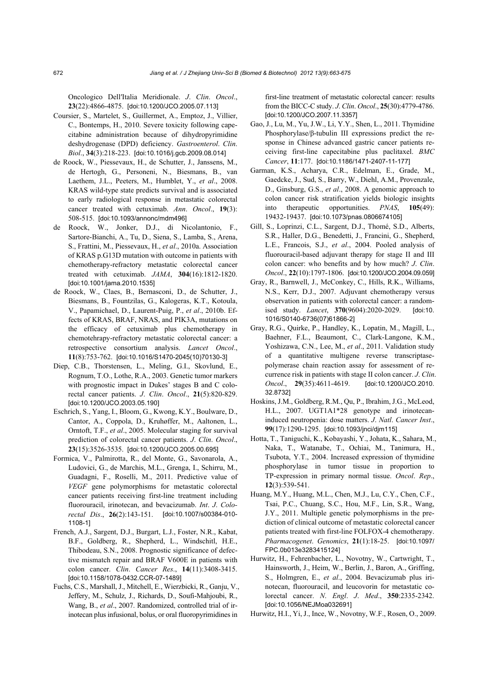Oncologico Dell′Italia Meridionale. *J*. *Clin*. *Oncol*., **23**(22):4866-4875. [doi:10.1200/JCO.2005.07.113]

- Coursier, S., Martelet, S., Guillermet, A., Emptoz, J., Villier, C., Bontemps, H., 2010. Severe toxicity following capecitabine administration because of dihydropyrimidine deshydrogenase (DPD) deficiency. *Gastroenterol*. *Clin*. *Biol*., **34**(3):218-223. [doi:10.1016/j.gcb.2009.08.014]
- de Roock, W., Piessevaux, H., de Schutter, J., Janssens, M., de Hertogh, G., Personeni, N., Biesmans, B., van Laethem, J.L., Peeters, M., Humblet, Y., *et al*., 2008. KRAS wild-type state predicts survival and is associated to early radiological response in metastatic colorectal cancer treated with cetuximab. *Ann*. *Oncol*., **19**(3): 508-515. [doi:10.1093/annonc/mdm496]
- de Roock, W., Jonker, D.J., di Nicolantonio, F., Sartore-Bianchi, A., Tu, D., Siena, S., Lamba, S., Arena, S., Frattini, M., Piessevaux, H., *et al*., 2010a. Association of KRAS p.G13D mutation with outcome in patients with chemotherapy-refractory metastatic colorectal cancer treated with cetuximab. *JAMA*, **304**(16):1812-1820. [doi:10.1001/jama.2010.1535]
- de Roock, W., Claes, B., Bernasconi, D., de Schutter, J., Biesmans, B., Fountzilas, G., Kalogeras, K.T., Kotoula, V., Papamichael, D., Laurent-Puig, P., *et al*., 2010b. Effects of KRAS, BRAF, NRAS, and PIK3A, mutations on the efficacy of cetuximab plus chemotherapy in chemotehrapy-refractory metastatic colorectal cancer: a retrospective consortium analysis. *Lancet Oncol*., **11**(8):753-762. [doi:10.1016/S1470-2045(10)70130-3]
- Diep, C.B., Thorstensen, L., Meling, G.I., Skovlund, E., Rognum, T.O., Lothe, R.A., 2003. Genetic tumor markers with prognostic impact in Dukes' stages B and C colorectal cancer patients. *J*. *Clin*. *Oncol*., **21**(5):820-829. [doi:10.1200/JCO.2003.05.190]
- Eschrich, S., Yang, I., Bloom, G., Kwong, K.Y., Boulware, D., Cantor, A., Coppola, D., Kruhøffer, M., Aaltonen, L., Orntoft, T.F., *et al*., 2005. Molecular staging for survival prediction of colorectal cancer patients. *J*. *Clin*. *Oncol*., **23**(15):3526-3535. [doi:10.1200/JCO.2005.00.695]
- Formica, V., Palmirotta, R., del Monte, G., Savonarola, A., Ludovici, G., de Marchis, M.L., Grenga, I., Schirru, M., Guadagni, F., Roselli, M., 2011. Predictive value of *VEGF* gene polymorphisms for metastatic colorectal cancer patients receiving first-line treatment including fluorouracil, irinotecan, and bevacizumab. *Int*. *J*. *Colorectal Dis*., **26**(2):143-151. [doi:10.1007/s00384-010- 1108-1]
- French, A.J., Sargent, D.J., Burgart, L.J., Foster, N.R., Kabat, B.F., Goldberg, R., Shepherd, L., Windschitl, H.E., Thibodeau, S.N., 2008. Prognostic significance of defective mismatch repair and BRAF V600E in patients with colon cancer. *Clin*. *Cancer Res*., **14**(11):3408-3415. [doi:10.1158/1078-0432.CCR-07-1489]
- Fuchs, C.S., Marshall, J., Mitchell, E., Wierzbicki, R., Ganju, V., Jeffery, M., Schulz, J., Richards, D., Soufi-Mahjoubi, R., Wang, B., *et al*., 2007. Randomized, controlled trial of irinotecan plus infusional, bolus, or oral fluoropyrimidines in

first-line treatment of metastatic colorectal cancer: results from the BICC-C study. *J*. *Clin*. *Oncol*., **25**(30):4779-4786. [doi:10.1200/JCO.2007.11.3357]

- Gao, J., Lu, M., Yu, J.W., Li, Y.Y., Shen, L., 2011. Thymidine Phosphorylase/β-tubulin III expressions predict the response in Chinese advanced gastric cancer patients receiving first-line capecitabine plus paclitaxel. *BMC Cancer*, **11**:177. [doi:10.1186/1471-2407-11-177]
- Garman, K.S., Acharya, C.R., Edelman, E., Grade, M., Gaedcke, J., Sud, S., Barry, W., Diehl, A.M., Provenzale, D., Ginsburg, G.S., *et al*., 2008. A genomic approach to colon cancer risk stratification yields biologic insights into therapeutic opportunities. *PNAS*, **105**(49): 19432-19437. [doi:10.1073/pnas.0806674105]
- Gill, S., Loprinzi, C.L., Sargent, D.J., Thomé, S.D., Alberts, S.R., Haller, D.G., Benedetti, J., Francini, G., Shepherd, L.E., Francois, S.J., *et al*., 2004. Pooled analysis of fluorouracil-based adjuvant therapy for stage II and III colon cancer: who benefits and by how much? *J*. *Clin*. *Oncol*., **22**(10):1797-1806. [doi:10.1200/JCO.2004.09.059]
- Gray, R., Barnwell, J., McConkey, C., Hills, R.K., Williams, N.S., Kerr, D.J., 2007. Adjuvant chemotherapy versus observation in patients with colorectal cancer: a randomised study. *Lancet*, **370**(9604):2020-2029. [doi:10. 1016/S0140-6736(07)61866-2]
- Gray, R.G., Quirke, P., Handley, K., Lopatin, M., Magill, L., Baehner, F.L., Beaumont, C., Clark-Langone, K.M., Yoshizawa, C.N., Lee, M., *et al*., 2011. Validation study of a quantitative multigene reverse transcriptasepolymerase chain reaction assay for assessment of recurrence risk in patients with stage II colon cancer. *J*. *Clin*. *Oncol*., **29**(35):4611-4619. [doi:10.1200/JCO.2010. 32.8732]
- Hoskins, J.M., Goldberg, R.M., Qu, P., Ibrahim, J.G., McLeod, H.L., 2007. UGT1A1\*28 genotype and irinotecaninduced neutropenia: dose matters. *J*. *Natl*. *Cancer Inst*., **99**(17):1290-1295. [doi:10.1093/jnci/djm115]
- Hotta, T., Taniguchi, K., Kobayashi, Y., Johata, K., Sahara, M., Naka, T., Watanabe, T., Ochiai, M., Tanimura, H., Tsubota, Y.T., 2004. Increased expression of thymidine phosphorylase in tumor tissue in proportion to TP-expression in primary normal tissue. *Oncol*. *Rep*., **12**(3):539-541.
- Huang, M.Y., Huang, M.L., Chen, M.J., Lu, C.Y., Chen, C.F., Tsai, P.C., Chuang, S.C., Hou, M.F., Lin, S.R., Wang, J.Y., 2011. Multiple genetic polymorphisms in the prediction of clinical outcome of metastatic colorectal cancer patients treated with first-line FOLFOX-4 chemotherapy. *Pharmacogenet*. *Genomics*, **21**(1):18-25. [doi:10.1097/ FPC.0b013e3283415124]
- Hurwitz, H., Fehrenbacher, L., Novotny, W., Cartwright, T., Hainsworth, J., Heim, W., Berlin, J., Baron, A., Griffing, S., Holmgren, E., *et al*., 2004. Bevacizumab plus irinotecan, fluorouracil, and leucovorin for metastatic colorectal cancer. *N*. *Engl*. *J*. *Med*., **350**:2335-2342. [doi:10.1056/NEJMoa032691]
- Hurwitz, H.I., Yi, J., Ince, W., Novotny, W.F., Rosen, O., 2009.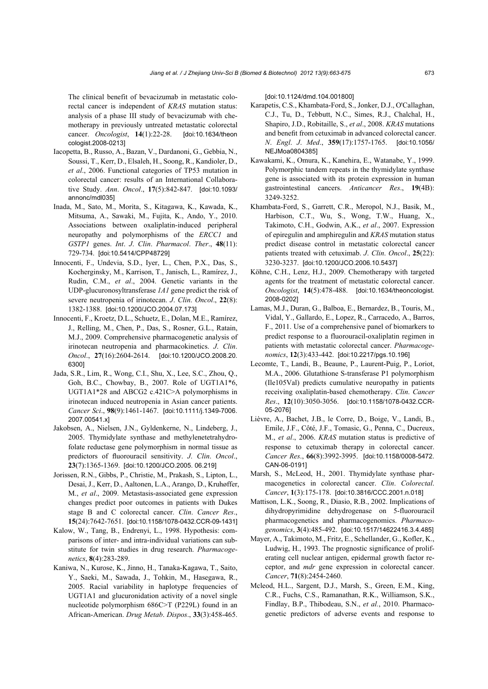The clinical benefit of bevacizumab in metastatic colorectal cancer is independent of *KRAS* mutation status: analysis of a phase III study of bevacizumab with chemotherapy in previously untreated metastatic colorectal cancer. *Oncologist*, **14**(1):22-28. [doi:10.1634/theon cologist.2008-0213]

- Iacopetta, B., Russo, A., Bazan, V., Dardanoni, G., Gebbia, N., Soussi, T., Kerr, D., Elsaleh, H., Soong, R., Kandioler, D., *et al*., 2006. Functional categories of TP53 mutation in colorectal cancer: results of an International Collaborative Study. *Ann*. *Oncol*., **17**(5):842-847. [doi:10.1093/ annonc/mdl035]
- Inada, M., Sato, M., Morita, S., Kitagawa, K., Kawada, K., Mitsuma, A., Sawaki, M., Fujita, K., Ando, Y., 2010. Associations between oxaliplatin-induced peripheral neuropathy and polymorphisms of the *ERCC1* and *GSTP1* genes. *Int*. *J*. *Clin*. *Pharmacol*. *Ther*., **48**(11): 729-734. [doi:10.5414/CPP48729]
- Innocenti, F., Undevia, S.D., Iyer, L., Chen, P.X., Das, S., Kocherginsky, M., Karrison, T., Janisch, L., Ramírez, J., Rudin, C.M., *et al*., 2004. Genetic variants in the UDP-glucuronosyltransferase *1A1* gene predict the risk of severe neutropenia of irinotecan. *J*. *Clin*. *Oncol*., **22**(8): 1382-1388. [doi:10.1200/JCO.2004.07.173]
- Innocenti, F., Kroetz, D.L., Schuetz, E., Dolan, M.E., Ramírez, J., Relling, M., Chen, P., Das, S., Rosner, G.L., Ratain, M.J., 2009. Comprehensive pharmacogenetic analysis of irinotecan neutropenia and pharmacokinetics. *J*. *Clin*. *Oncol*., **27**(16):2604-2614. [doi:10.1200/JCO.2008.20. 6300]
- Jada, S.R., Lim, R., Wong, C.I., Shu, X., Lee, S.C., Zhou, Q., Goh, B.C., Chowbay, B., 2007. Role of UGT1A1\*6, UGT1A1\*28 and ABCG2 c.421C>A polymorphisms in irinotecan induced neutropenia in Asian cancer patients. *Cancer Sci*., **98**(9):1461-1467. [doi:10.1111/j.1349-7006. 2007.00541.x]
- Jakobsen, A., Nielsen, J.N., Gyldenkerne, N., Lindeberg, J., 2005. Thymidylate synthase and methylenetetrahydrofolate reductase gene polymorphism in normal tissue as predictors of fluorouracil sensitivity. *J*. *Clin*. *Oncol*., **23**(7):1365-1369. [doi:10.1200/JCO.2005. 06.219]
- Jorissen, R.N., Gibbs, P., Christie, M., Prakash, S., Lipton, L., Desai, J., Kerr, D., Aaltonen, L.A., Arango, D., Kruhøffer, M., *et al*., 2009. Metastasis-associated gene expression changes predict poor outcomes in patients with Dukes stage B and C colorectal cancer. *Clin*. *Cancer Res*., **15**(24):7642-7651. [doi:10.1158/1078-0432.CCR-09-1431]
- Kalow, W., Tang, B., Endrenyi, L., 1998. Hypothesis: comparisons of inter- and intra-individual variations can substitute for twin studies in drug research. *Pharmacogenetics*, **8**(4):283-289.
- Kaniwa, N., Kurose, K., Jinno, H., Tanaka-Kagawa, T., Saito, Y., Saeki, M., Sawada, J., Tohkin, M., Hasegawa, R., 2005. Racial variability in haplotype frequencies of UGT1A1 and glucuronidation activity of a novel single nucleotide polymorphism 686C>T (P229L) found in an African-American. *Drug Metab*. *Dispos*., **33**(3):458-465.

[doi:10.1124/dmd.104.001800]

- Karapetis, C.S., Khambata-Ford, S., Jonker, D.J., O'Callaghan, C.J., Tu, D., Tebbutt, N.C., Simes, R.J., Chalchal, H., Shapiro, J.D., Robitaille, S., *et al*., 2008. *KRAS* mutations and benefit from cetuximab in advanced colorectal cancer. *N*. *Engl*. *J*. *Med*., **359**(17):1757-1765. [doi:10.1056/ NEJMoa0804385]
- Kawakami, K., Omura, K., Kanehira, E., Watanabe, Y., 1999. Polymorphic tandem repeats in the thymidylate synthase gene is associated with its protein expression in human gastrointestinal cancers. *Anticancer Res*., **19**(4B): 3249-3252.
- Khambata-Ford, S., Garrett, C.R., Meropol, N.J., Basik, M., Harbison, C.T., Wu, S., Wong, T.W., Huang, X., Takimoto, C.H., Godwin, A.K., *et al*., 2007. Expression of epiregulin and amphiregulin and *KRAS* mutation status predict disease control in metastatic colorectal cancer patients treated with cetuximab. *J*. *Clin*. *Oncol*., **25**(22): 3230-3237. [doi:10.1200/JCO.2006.10.5437]
- Köhne, C.H., Lenz, H.J., 2009. Chemotherapy with targeted agents for the treatment of metastatic colorectal cancer. *Oncologist*, **14**(5):478-488. [doi:10.1634/theoncologist. 2008-0202]
- Lamas, M.J., Duran, G., Balboa, E., Bernardez, B., Touris, M., Vidal, Y., Gallardo, E., Lopez, R., Carracedo, A., Barros, F., 2011. Use of a comprehensive panel of biomarkers to predict response to a fluorouracil-oxaliplatin regimen in patients with metastatic colorectal cancer. *Pharmacogenomics*, **12**(3):433-442. [doi:10.2217/pgs.10.196]
- Lecomte, T., Landi, B., Beaune, P., Laurent-Puig, P., Loriot, M.A., 2006. Glutathione S-transferase P1 polymorphism (Ile105Val) predicts cumulative neuropathy in patients receiving oxaliplatin-based chemotherapy. *Clin*. *Cancer Res*., **12**(10):3050-3056. [doi:10.1158/1078-0432.CCR-05-2076]
- Lièvre, A., Bachet, J.B., le Corre, D., Boige, V., Landi, B., Emile, J.F., Côté, J.F., Tomasic, G., Penna, C., Ducreux, M., *et al*., 2006. *KRAS* mutation status is predictive of response to cetuximab therapy in colorectal cancer. *Cancer Res*., **66**(8):3992-3995. [doi:10.1158/0008-5472. CAN-06-0191]
- Marsh, S., McLeod, H., 2001. Thymidylate synthase pharmacogenetics in colorectal cancer. *Clin*. *Colorectal*. *Cancer*, **1**(3):175-178. [doi:10.3816/CCC.2001.n.018]
- Mattison, L.K., Soong, R., Diasio, R.B., 2002. Implications of dihydropyrimidine dehydrogenase on 5-fluorouracil pharmacogenetics and pharmacogenomics. *Pharmacogenomics*, **3**(4):485-492. [doi:10.1517/14622416.3.4.485]
- Mayer, A., Takimoto, M., Fritz, E., Schellander, G., Kofler, K., Ludwig, H., 1993. The prognostic significance of proliferating cell nuclear antigen, epidermal growth factor receptor, and *mdr* gene expression in colorectal cancer. *Cancer*, **71**(8):2454-2460.
- Mcleod, H.L., Sargent, D.J., Marsh, S., Green, E.M., King, C.R., Fuchs, C.S., Ramanathan, R.K., Williamson, S.K., Findlay, B.P., Thibodeau, S.N., *et al.*, 2010. Pharmacogenetic predictors of adverse events and response to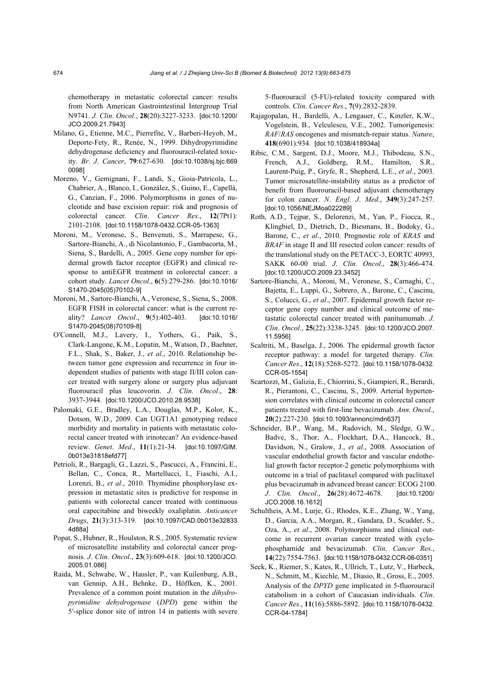chemotherapy in metastatic colorectal cancer: results from North American Gastrointestinal Intergroup Trial N9741. *J. Clin. Oncol*., **28**(20):3227-3233. [doi:10.1200/ JCO.2009.21.7943]

- Milano, G., Etienne, M.C., Pierrefite, V., Barberi-Heyob, M., Deporte-Fety, R., Renée, N., 1999. Dihydropyrimidine dehydrogenase deficiency and fluorouracil-related toxicity. *Br*. *J*. *Cancer*, **79**:627-630. [doi:10.1038/sj.bjc.669 0098]
- Moreno, V., Gemignani, F., Landi, S., Gioia-Patricola, L., Chabrier, A., Blanco, I., González, S., Guino, E., Capellà, G., Canzian, F., 2006. Polymorphisms in genes of nucleotide and base excision repair: risk and prognosis of colorectal cancer. *Clin*. *Cancer Res*., **12**(7Pt1): 2101-2108. [doi:10.1158/1078-0432.CCR-05-1363]
- Moroni, M., Veronese, S., Benvenuti, S., Marrapese, G., Sartore-Bianchi, A., di Nicolantonio, F., Gambacorta, M., Siena, S., Bardelli, A., 2005. Gene copy number for epidermal growth factor receptor (EGFR) and clinical response to antiEGFR treatment in colorectal cancer: a cohort study. *Lancet Oncol*., **6**(5):279-286. [doi:10.1016/ S1470-2045(05)70102-9]
- Moroni, M., Sartore-Bianchi, A., Veronese, S., Siena, S., 2008. EGFR FISH in colorectal cancer: what is the current reality? *Lancet Oncol*., **9**(5):402-403. [doi:10.1016/ S1470-2045(08)70109-8]
- O′Connell, M.J., Lavery, I., Yothers, G., Paik, S., Clark-Langone, K.M., Lopatin, M., Watson, D., Baehner, F.L., Shak, S., Baker, J., *et al*., 2010. Relationship between tumor gene expression and recurrence in four independent studies of patients with stage II/III colon cancer treated with surgery alone or surgery plus adjuvant fluorouracil plus leucovorin. *J*. *Clin*. *Oncol*., **28**: 3937-3944. [doi:10.1200/JCO.2010.28.9538]
- Palomaki, G.E., Bradley, L.A., Douglas, M.P., Kolor, K., Dotson, W.D., 2009. Can UGT1A1 genotyping reduce morbidity and mortality in patients with metastatic colorectal cancer treated with irinotecan? An evidence-based review. *Genet*. *Med*., **11**(1):21-34. [doi:10.1097/GIM. 0b013e31818efd77]
- Petrioli, R., Bargagli, G., Lazzi, S., Pascucci, A., Francini, E., Bellan, C., Conca, R., Martellucci, I., Fiaschi, A.I., Lorenzi, B., *et al*., 2010. Thymidine phosphorylase expression in metastatic sites is predictive for response in patients with colorectal cancer treated with continuous oral capecitabine and biweekly oxaliplatin. *Anticancer Drugs*, **21**(3):313-319. [doi:10.1097/CAD.0b013e32833 4d88a]
- Popat, S., Hubner, R., Houlston, R.S., 2005. Systematic review of microsatellite instability and colorectal cancer prognosis. *J*. *Clin*. *Oncol*., **23**(3):609-618. [doi:10.1200/JCO. 2005.01.086]
- Raida, M., Schwabe, W., Hausler, P., van Kuilenburg, A.B., van Gennip, A.H., Behnke, D., Höffken, K., 2001. Prevalence of a common point mutation in the *dihydropyrimidine dehydrogenase* (*DPD*) gene within the 5′-splice donor site of intron 14 in patients with severe

5-fluorouracil (5-FU)-related toxicity compared with controls. *Clin*. *Cancer Res*., **7**(9):2832-2839.

- Rajagopalan, H., Bardelli, A., Lengauer, C., Kinzler, K.W., Vogelstein, B., Velculescu, V.E., 2002. Tumorigenesis: *RAF*/*RAS* oncogenes and mismatch-repair status. *Nature*, **418**(6901):934. [doi:10.1038/418934a]
- Ribic, C.M., Sargent, D.J., Moore, M.J., Thibodeau, S.N., French, A.J., Goldberg, R.M., Hamilton, S.R., Laurent-Puig, P., Gryfe, R., Shepherd, L.E., *et al*., 2003. Tumor microsatellite-instability status as a predictor of benefit from fluorouracil-based adjuvant chemotherapy for colon cancer. *N*. *Engl*. *J*. *Med*., **349**(3):247-257. [doi:10.1056/NEJMoa022289]
- Roth, A.D., Tejpar, S., Delorenzi, M., Yan, P., Fiocca, R., Klingbiel, D., Dietrich, D., Biesmans, B., Bodoky, G., Barone, C., *et al*., 2010. Prognostic role of *KRAS* and *BRAF* in stage II and III resected colon cancer: results of the translational study on the PETACC-3, EORTC 40993, SAKK 60-00 trial. *J*. *Clin*. *Oncol*., **28**(3):466-474. [doi:10.1200/JCO.2009.23.3452]
- Sartore-Bianchi, A., Moroni, M., Veronese, S., Carnaghi, C., Bajetta, E., Luppi, G., Sobrero, A., Barone, C., Cascinu, S., Colucci, G., *et al*., 2007. Epidermal growth factor receptor gene copy number and clinical outcome of metastatic colorectal cancer treated with panitumumab. *J*. *Clin*. *Oncol*., **25**(22):3238-3245. [doi:10.1200/JCO.2007. 11.5956]
- Scaltriti, M., Baselga, J., 2006. The epidermal growth factor receptor pathway: a model for targeted therapy. *Clin*. *Cancer Res*., **12**(18):5268-5272. [doi:10.1158/1078-0432. CCR-05-1554]
- Scartozzi, M., Galizia, E., Chiorrini, S., Giampieri, R., Berardi, R., Pierantoni, C., Cascinu, S., 2009. Arterial hypertension correlates with clinical outcome in colorectal cancer patients treated with first-line bevacizumab. *Ann*. *Oncol*., **20**(2):227-230. [doi:10.1093/annonc/mdn637]
- Schneider, B.P., Wang, M., Radovich, M., Sledge, G.W., Badve, S., Thor, A., Flockhart, D.A., Hancock, B., Davidson, N., Gralow, J., *et al*., 2008. Association of vascular endothelial growth factor and vascular endothelial growth factor receptor-2 genetic polymorphisms with outcome in a trial of paclitaxel compared with paclitaxel plus bevacizumab in advanced breast cancer: ECOG 2100. *J*. *Clin*. *Oncol*., **26**(28):4672-4678. [doi:10.1200/ JCO.2008.16.1612]
- Schultheis, A.M., Lurje, G., Rhodes, K.E., Zhang, W., Yang, D., Garcia, A.A., Morgan, R., Gandara, D., Scudder, S., Oza, A., *et al*., 2008. Polymorphisms and clinical outcome in recurrent ovarian cancer treated with cyclophosphamide and bevacizumab. *Clin*. *Cancer Res*., **14**(22):7554-7563. [doi:10.1158/1078-0432.CCR-08-0351]
- Seck, K., Riemer, S., Kates, R., Ullrich, T., Lutz, V., Harbeck, N., Schmitt, M., Kiechle, M., Diasio, R., Gross, E., 2005. Analysis of the *DPYD* gene implicated in 5-fluorouracil catabolism in a cohort of Caucasian individuals. *Clin*. *Cancer Res*., **11**(16):5886-5892. [doi:10.1158/1078-0432. CCR-04-1784]